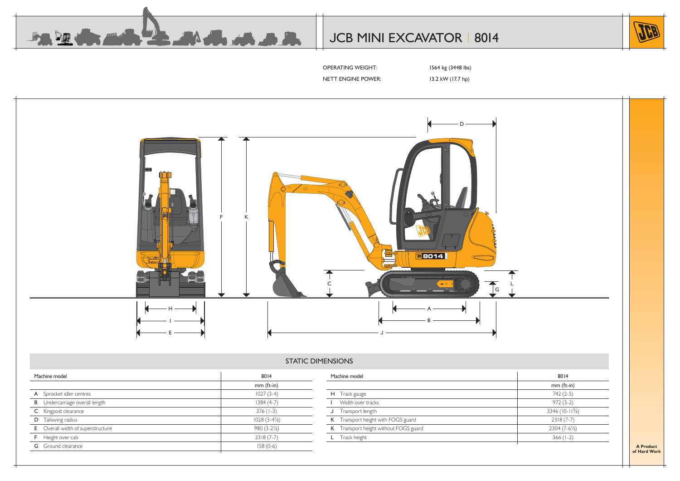

# JCB MINI EXCAVATOR | 8014



OPERATING WEIGHT: 1564 kg (3448 lbs)

NETT ENGINE POWER: 13.2 kW (17.7 hp)



#### STATIC DIMENSIONS

|   | Machine model                     | 8014                   |  |  |  |
|---|-----------------------------------|------------------------|--|--|--|
|   |                                   | $mm$ (ft-in)           |  |  |  |
|   | A Sprocket idler centres          | $1027(3-4)$            |  |  |  |
| B | Undercarriage overall length      | $1384(4-7)$            |  |  |  |
|   | Kingpost clearance                | $376(1-3)$             |  |  |  |
| D | Tailswing radius                  | $1028(3-4\frac{1}{2})$ |  |  |  |
|   | E Overall width of superstructure | $980(3-2\frac{1}{2})$  |  |  |  |
|   | Height over cab                   | $2318(7-7)$            |  |  |  |
|   | Ground clearance                  | $158(0-6)$             |  |  |  |
|   |                                   |                        |  |  |  |

| Machine model                         | 8014                 |
|---------------------------------------|----------------------|
|                                       | $mm$ (ft-in)         |
| H Track gauge                         | $742(2-5)$           |
| Width over tracks                     | $972(3-2)$           |
| Transport length                      | $3346 (10-11^{3}/4)$ |
| K Transport height with FOGS guard    | $2318(7-7)$          |
| K Transport height without FOGS guard | $2304(7-6^{1}/2)$    |
| Track height                          | $366(1-2)$           |
|                                       |                      |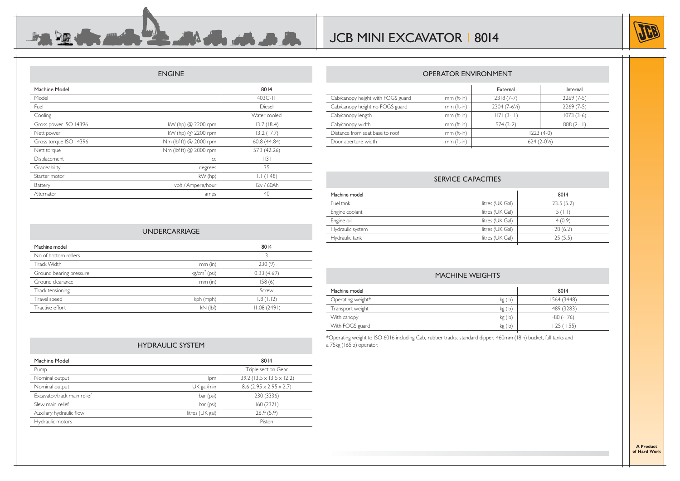

Internal

#### ENGINE

 $\mathbb{P}$ 

 $\mathbf{L} \mathbf{M}$  dia at  $\mathbf{A} \mathbf{M}$ 

| Machine Model          |                        | 8014          |
|------------------------|------------------------|---------------|
| Model                  |                        | $403C - 11$   |
| Fuel                   |                        | <b>Diesel</b> |
| Cooling                |                        | Water cooled  |
| Gross power ISO 14396  | kW (hp) @ 2200 rpm     | 13.7(18.4)    |
| Nett power             | kW (hp) @ 2200 rpm     | 13.2(17.7)    |
| Gross torque ISO 14396 | Nm (lbf ft) @ 2000 rpm | 60.8(44.84)   |
| Nett torque            | Nm (lbf ft) @ 2000 rpm | 57.3 (42.26)  |
| Displacement           | CC                     | 3             |
| Gradeability           | degrees                | 35            |
| Starter motor          | kW (hp)                | 1.1(1.48)     |
| Battery                | volt / Ampere/hour     | I2v / 60Ah    |
| Alternator             | amps                   | 40            |
|                        |                        |               |

| <b>UNDERCARRIAGE</b>    |                |             |  |  |  |  |  |  |  |
|-------------------------|----------------|-------------|--|--|--|--|--|--|--|
| Machine model           |                | 8014        |  |  |  |  |  |  |  |
| No of bottom rollers    |                | 3           |  |  |  |  |  |  |  |
| <b>Track Width</b>      | $mm$ (in)      | 230(9)      |  |  |  |  |  |  |  |
| Ground bearing pressure | $kg/cm2$ (psi) | 0.33(4.69)  |  |  |  |  |  |  |  |
| Ground clearance        | $mm$ (in)      | 158(6)      |  |  |  |  |  |  |  |
| Track tensioning        |                | Screw       |  |  |  |  |  |  |  |
| Travel speed            | kph (mph)      | 1.8(1.12)   |  |  |  |  |  |  |  |
| Tractive effort         | $kN$ (lbf)     | 11.08(2491) |  |  |  |  |  |  |  |
|                         |                |             |  |  |  |  |  |  |  |

## External Cab/canopy height with FOGS guard mm (ft-in) 2318 (7-7) 2269 (7-5)

| Cab/canopy height no FOGS guard | mm (ft-in) | $2304(7-6^{1}/2)$     | $2269(7-5)$ |  |  |
|---------------------------------|------------|-----------------------|-------------|--|--|
| Cab/canopy length               | mm (ft-in) | $1171(3-11)$          | $1073(3-6)$ |  |  |
| Cab/canopy width                | mm (ft-in) | $974(3-2)$            | $888(2-11)$ |  |  |
| Distance from seat base to roof | mm (ft-in) | $1223(4-0)$           |             |  |  |
| Door aperture width             | mm (ft-in) | $624(2-0\frac{1}{2})$ |             |  |  |
|                                 |            |                       |             |  |  |

OPERATOR ENVIRONMENT

#### SERVICE CAPACITIES

| Machine model    |                 | 8014      |
|------------------|-----------------|-----------|
| Fuel tank        | litres (UK Gal) | 23.5(5.2) |
| Engine coolant   | litres (UK Gal) | 5(1.1)    |
| Engine oil       | litres (UK Gal) | 4(0.9)    |
| Hydraulic system | litres (UK Gal) | 28(6.2)   |
| Hydraulic tank   | litres (UK Gal) | 25(5.5)   |
|                  |                 |           |

## MACHINE WEIGHTS

| Machine model     |         | 8014        |
|-------------------|---------|-------------|
| Operating weight* | kg (lb) | 1564 (3448) |
| Transport weight  | kg (lb) | 1489 (3283) |
| With canopy       | kg(h)   | $-80(-176)$ |
| With FOGS guard   | kg (lb) | $+25 (+55)$ |

\*Operating weight to ISO 6016 including Cab, rubber tracks, standard dipper, 460mm (18in) bucket, full tanks and a 75kg (165lb) operator.

## HYDRAULIC SYSTEM

| Machine Model               |                 | 8014                               |
|-----------------------------|-----------------|------------------------------------|
| Pump                        |                 | Triple section Gear                |
| Nominal output              | Ipm             | $39.2$ (13.5 x 13.5 x 12.2)        |
| Nominal output              | UK gal/min      | $8.6(2.95 \times 2.95 \times 2.7)$ |
| Excavator/track main relief | bar (psi)       | 230 (3336)                         |
| Slew main relief            | bar (psi)       | 160(2321)                          |
| Auxiliary hydraulic flow    | litres (UK gal) | 26.9(5.9)                          |
| Hydraulic motors            |                 | Piston                             |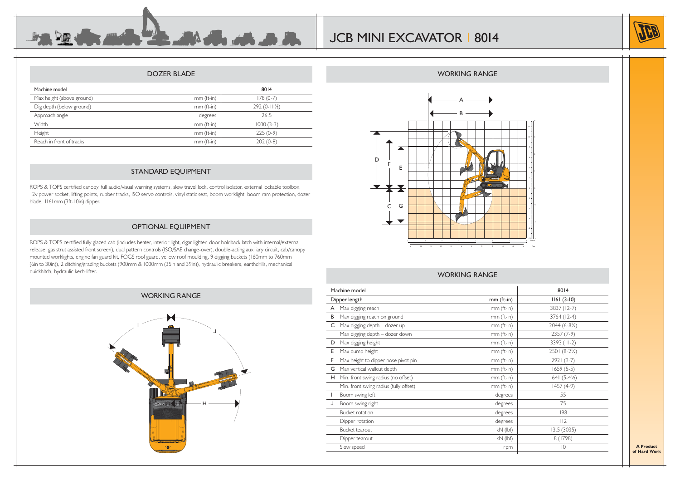

#### DOZER BLADE

 $\Lambda$ 

**B. A. A. B** 

| Machine model             |            | 8014                   |
|---------------------------|------------|------------------------|
| Max height (above ground) | mm (ft-in) | $178(0-7)$             |
| Dig depth (below ground)  | mm (ft-in) | $292(0-11\frac{1}{2})$ |
| Approach angle            | degrees    | 26.5                   |
| Width                     | mm (ft-in) | $1000(3-3)$            |
| Height                    | mm (ft-in) | $225(0-9)$             |
| Reach in front of tracks  | mm (ft-in) | $202(0-8)$             |
|                           |            |                        |

## STANDARD EQUIPMENT

ROPS & TOPS certified canopy, full audio/visual warning systems, slew travel lock, control isolator, external lockable toolbox, 12v power socket, lifting points, rubber tracks, ISO servo controls, vinyl static seat, boom worklight, boom ram protection, dozer blade, 1161mm (3ft-10in) dipper.

## OPTIONAL EQUIPMENT

ROPS & TOPS certified fully glazed cab (includes heater, interior light, cigar lighter, door holdback latch with internal/external release, gas strut assisted front screen), dual pattern controls (ISO/SAE change-over), double-acting auxiliary circuit, cab/canopy mounted worklights, engine fan guard kit, FOGS roof guard, yellow roof moulding, 9 digging buckets (160mm to 760mm (6in to 30in)), 2 ditching/grading buckets (900mm & 1000mm (35in and 39in)), hydraulic breakers, earthdrills, mechanical quickhitch, hydraulic kerb-lifter.

## WORKING RANGE





#### WORKING RANGE

6 4 2 0

-2 -4 -6

10

14

|                                        | 8014                                                                  |                         |
|----------------------------------------|-----------------------------------------------------------------------|-------------------------|
|                                        | mm (ft-in)                                                            | $ 161(3-10) $           |
| Max digging reach                      | mm (ft-in)                                                            | 3837 (12-7)             |
| Max digging reach on ground            | mm (ft-in)                                                            | 3764 (12-4)             |
| Max digging depth - dozer up           | mm (ft-in)                                                            | $2044(6-8\frac{1}{2})$  |
| Max digging depth - dozer down         | mm (ft-in)                                                            | $2357(7-9)$             |
| Max digging height                     | mm (ft-in)                                                            | 3393 (II-2)             |
| Max dump height                        | mm (ft-in)                                                            | $2501 (8-2\frac{1}{2})$ |
| Max height to dipper nose pivot pin    | mm (ft-in)                                                            | 2921 (9-7)              |
| Max vertical wallcut depth             | mm (ft-in)                                                            | $1659(5-5)$             |
|                                        | mm (ft-in)                                                            | $1641 (5-4\frac{1}{2})$ |
| Min. front swing radius (fully offset) | mm (ft-in)                                                            | $1457(4-9)$             |
| Boom swing left                        | degrees                                                               | 55                      |
| Boom swing right                       | degrees                                                               | 75                      |
| <b>Bucket rotation</b>                 | degrees                                                               | 198                     |
| Dipper rotation                        | degrees                                                               | 112                     |
| Bucket tearout                         | $kN$ (lbf)                                                            | 13.5(3035)              |
| Dipper tearout                         | $kN$ (lbf)                                                            | 8 (1798)                |
| Slew speed                             | rpm                                                                   | $ 0\rangle$             |
|                                        | Machine model<br>Dipper length<br>Min. front swing radius (no offset) |                         |

#### WORKING RANGE